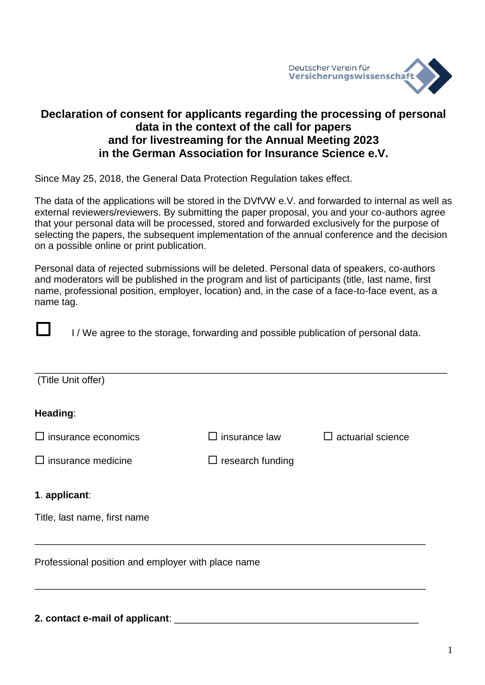

# **Declaration of consent for applicants regarding the processing of personal data in the context of the call for papers and for livestreaming for the Annual Meeting 2023 in the German Association for Insurance Science e.V.**

Since May 25, 2018, the General Data Protection Regulation takes effect.

The data of the applications will be stored in the DVfVW e.V. and forwarded to internal as well as external reviewers/reviewers. By submitting the paper proposal, you and your co-authors agree that your personal data will be processed, stored and forwarded exclusively for the purpose of selecting the papers, the subsequent implementation of the annual conference and the decision on a possible online or print publication.

Personal data of rejected submissions will be deleted. Personal data of speakers, co-authors and moderators will be published in the program and list of participants (title, last name, first name, professional position, employer, location) and, in the case of a face-to-face event, as a name tag.



I / We agree to the storage, forwarding and possible publication of personal data.

| (Title Unit offer)                                 |                         |                          |
|----------------------------------------------------|-------------------------|--------------------------|
| Heading:                                           |                         |                          |
| $\square$ insurance economics                      | $\Box$ insurance law    | $\Box$ actuarial science |
| $\Box$ insurance medicine                          | $\Box$ research funding |                          |
| 1. applicant:                                      |                         |                          |
| Title, last name, first name                       |                         |                          |
| Professional position and employer with place name |                         |                          |

#### **2. contact e-mail of applicant**: \_\_\_\_\_\_\_\_\_\_\_\_\_\_\_\_\_\_\_\_\_\_\_\_\_\_\_\_\_\_\_\_\_\_\_\_\_\_\_\_\_\_\_\_\_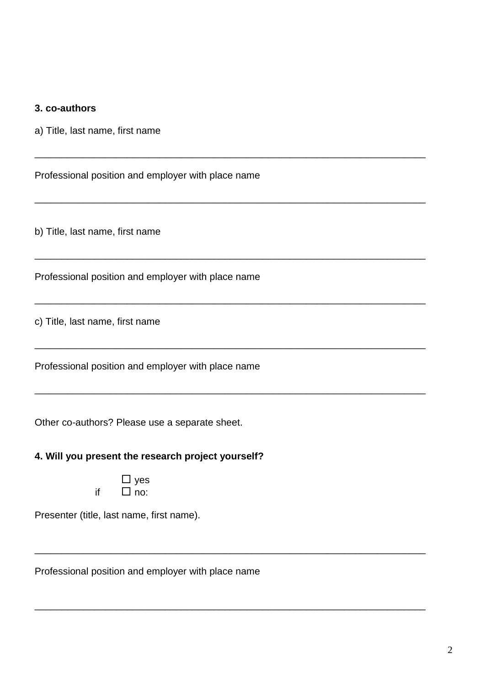| 3. co-authors |  |
|---------------|--|
|---------------|--|

a) Title, last name, first name

Professional position and employer with place name

\_\_\_\_\_\_\_\_\_\_\_\_\_\_\_\_\_\_\_\_\_\_\_\_\_\_\_\_\_\_\_\_\_\_\_\_\_\_\_\_\_\_\_\_\_\_\_\_\_\_\_\_\_\_\_\_\_\_\_\_\_\_\_\_\_\_\_\_\_\_\_\_

\_\_\_\_\_\_\_\_\_\_\_\_\_\_\_\_\_\_\_\_\_\_\_\_\_\_\_\_\_\_\_\_\_\_\_\_\_\_\_\_\_\_\_\_\_\_\_\_\_\_\_\_\_\_\_\_\_\_\_\_\_\_\_\_\_\_\_\_\_\_\_\_

\_\_\_\_\_\_\_\_\_\_\_\_\_\_\_\_\_\_\_\_\_\_\_\_\_\_\_\_\_\_\_\_\_\_\_\_\_\_\_\_\_\_\_\_\_\_\_\_\_\_\_\_\_\_\_\_\_\_\_\_\_\_\_\_\_\_\_\_\_\_\_\_

\_\_\_\_\_\_\_\_\_\_\_\_\_\_\_\_\_\_\_\_\_\_\_\_\_\_\_\_\_\_\_\_\_\_\_\_\_\_\_\_\_\_\_\_\_\_\_\_\_\_\_\_\_\_\_\_\_\_\_\_\_\_\_\_\_\_\_\_\_\_\_\_

\_\_\_\_\_\_\_\_\_\_\_\_\_\_\_\_\_\_\_\_\_\_\_\_\_\_\_\_\_\_\_\_\_\_\_\_\_\_\_\_\_\_\_\_\_\_\_\_\_\_\_\_\_\_\_\_\_\_\_\_\_\_\_\_\_\_\_\_\_\_\_\_

\_\_\_\_\_\_\_\_\_\_\_\_\_\_\_\_\_\_\_\_\_\_\_\_\_\_\_\_\_\_\_\_\_\_\_\_\_\_\_\_\_\_\_\_\_\_\_\_\_\_\_\_\_\_\_\_\_\_\_\_\_\_\_\_\_\_\_\_\_\_\_\_

\_\_\_\_\_\_\_\_\_\_\_\_\_\_\_\_\_\_\_\_\_\_\_\_\_\_\_\_\_\_\_\_\_\_\_\_\_\_\_\_\_\_\_\_\_\_\_\_\_\_\_\_\_\_\_\_\_\_\_\_\_\_\_\_\_\_\_\_\_\_\_\_

\_\_\_\_\_\_\_\_\_\_\_\_\_\_\_\_\_\_\_\_\_\_\_\_\_\_\_\_\_\_\_\_\_\_\_\_\_\_\_\_\_\_\_\_\_\_\_\_\_\_\_\_\_\_\_\_\_\_\_\_\_\_\_\_\_\_\_\_\_\_\_\_

b) Title, last name, first name

Professional position and employer with place name

c) Title, last name, first name

Professional position and employer with place name

Other co-authors? Please use a separate sheet.

#### **4. Will you present the research project yourself?**

|    |              | ves |
|----|--------------|-----|
| if | $\mathsf{L}$ | no: |

Presenter (title, last name, first name).

Professional position and employer with place name